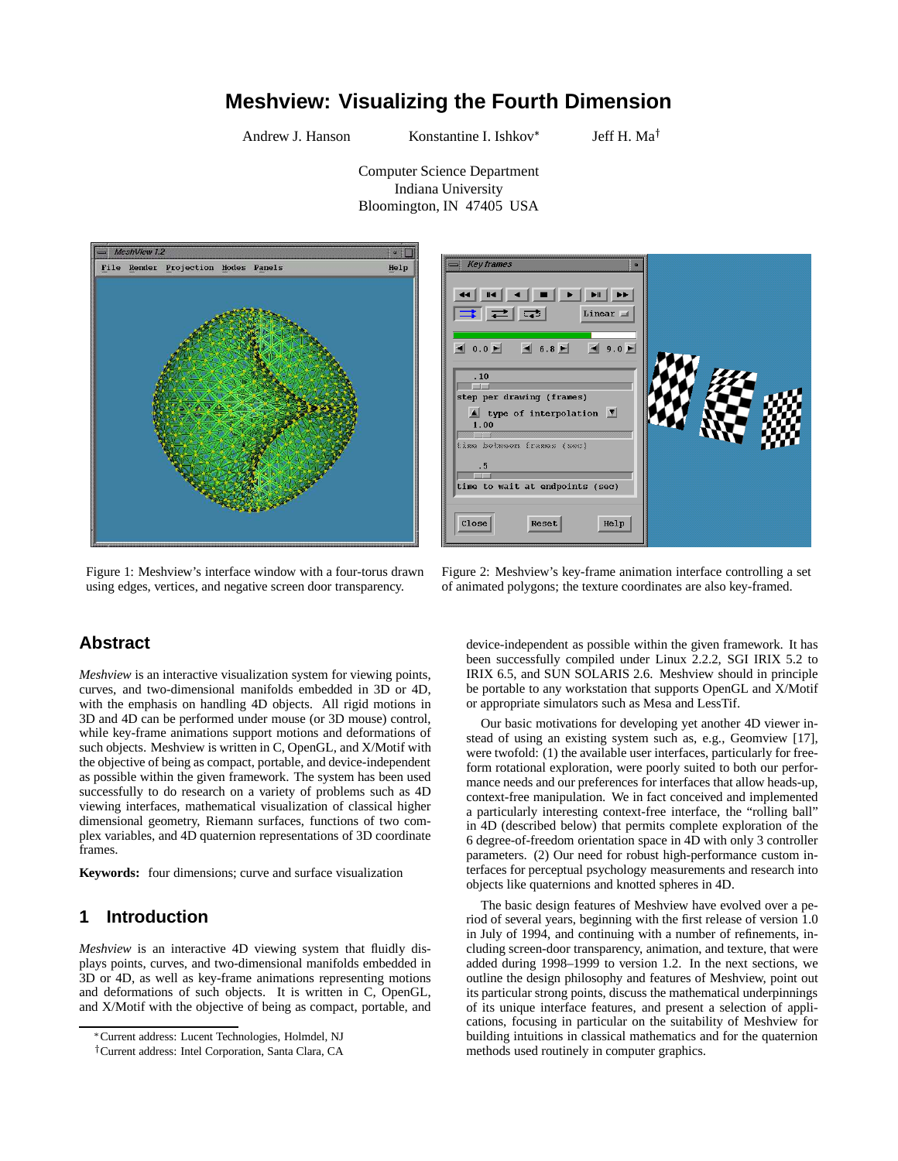# **Meshview: Visualizing the Fourth Dimension**

Andrew J. Hanson Konstantine I. Ishkov<sup>\*</sup>

**Key frames** 

Jeff H. Ma<sup> $\dagger$ </sup>

Computer Science Department Indiana University Bloomington, IN 47405 USA



Figure 1: Meshview's interface window with a four-torus drawn using edges, vertices, and negative screen door transparency.

#### $\blacktriangleleft$  $\blacksquare$  $H$  $\left|\right| =$ Linear  $\blacksquare$  $0.0$  $\blacksquare$  6.8  $\blacksquare$  $\left| \bullet \right|$  9.0  $.10$ step per drawing (frames)  $\blacktriangle$  type of interpolation  $\blacktriangledown$  $1.00$ ime between frames (sec) time to wait at endpoints (sec)  $c$ lose  $\text{Reset}$  $He1p$

of animated polygons; the texture coordinates are also key-framed.

Figure 2: Meshview's key-frame animation interface controlling a set

## **Abstract**

*Meshview* is an interactive visualization system for viewing points, curves, and two-dimensional manifolds embedded in 3D or 4D, with the emphasis on handling 4D objects. All rigid motions in 3D and 4D can be performed under mouse (or 3D mouse) control, while key-frame animations support motions and deformations of such objects. Meshview is written in C, OpenGL, and X/Motif with the objective of being as compact, portable, and device-independent as possible within the given framework. The system has been used successfully to do research on a variety of problems such as 4D viewing interfaces, mathematical visualization of classical higher dimensional geometry, Riemann surfaces, functions of two complex variables, and 4D quaternion representations of 3D coordinate frames.

**Keywords:** four dimensions; curve and surface visualization

## **1 Introduction**

*Meshview* is an interactive 4D viewing system that fluidly displays points, curves, and two-dimensional manifolds embedded in 3D or 4D, as well as key-frame animations representing motions and deformations of such objects. It is written in C, OpenGL, and X/Motif with the objective of being as compact, portable, and

device-independent as possible within the given framework. It has been successfully compiled under Linux 2.2.2, SGI IRIX 5.2 to IRIX 6.5, and SUN SOLARIS 2.6. Meshview should in principle be portable to any workstation that supports OpenGL and X/Motif or appropriate simulators such as Mesa and LessTif.

Our basic motivations for developing yet another 4D viewer instead of using an existing system such as, e.g., Geomview [17], were twofold: (1) the available user interfaces, particularly for freeform rotational exploration, were poorly suited to both our performance needs and our preferences for interfaces that allow heads-up, context-free manipulation. We in fact conceived and implemented a particularly interesting context-free interface, the "rolling ball" in 4D (described below) that permits complete exploration of the 6 degree-of-freedom orientation space in 4D with only 3 controller parameters. (2) Our need for robust high-performance custom interfaces for perceptual psychology measurements and research into objects like quaternions and knotted spheres in 4D.

The basic design features of Meshview have evolved over a period of several years, beginning with the first release of version 1.0 in July of 1994, and continuing with a number of refinements, including screen-door transparency, animation, and texture, that were added during 1998–1999 to version 1.2. In the next sections, we outline the design philosophy and features of Meshview, point out its particular strong points, discuss the mathematical underpinnings of its unique interface features, and present a selection of applications, focusing in particular on the suitability of Meshview for building intuitions in classical mathematics and for the quaternion methods used routinely in computer graphics.

Current address: Lucent Technologies, Holmdel, NJ

<sup>&</sup>lt;sup>†</sup> Current address: Intel Corporation, Santa Clara, CA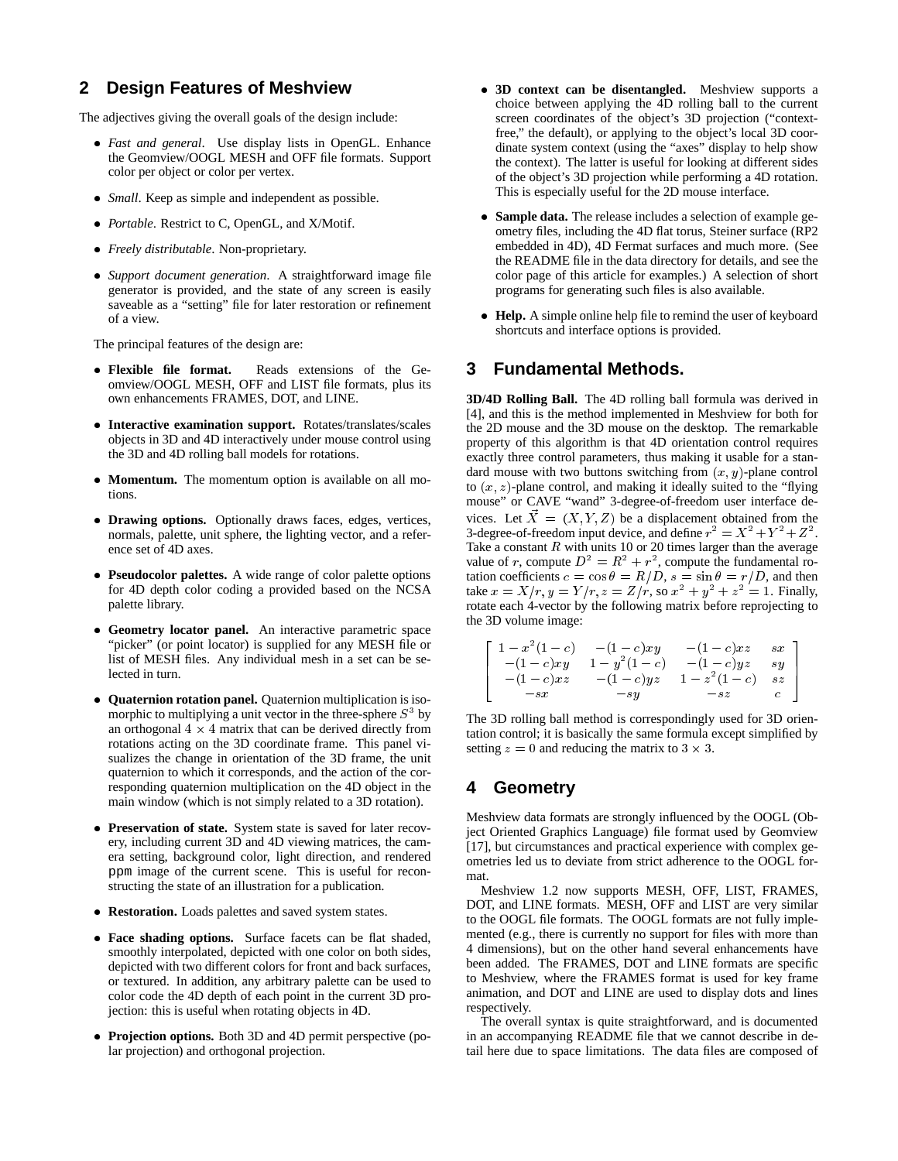## **2 Design Features of Meshview**

The adjectives giving the overall goals of the design include:

- *Fast and general*. Use display lists in OpenGL. Enhance the Geomview/OOGL MESH and OFF file formats. Support color per object or color per vertex.
- *Small*. Keep as simple and independent as possible.
- *Portable*. Restrict to C, OpenGL, and X/Motif.
- *Freely distributable*. Non-proprietary.
- *Support document generation*. A straightforward image file generator is provided, and the state of any screen is easily saveable as a "setting" file for later restoration or refinement of a view.

The principal features of the design are:

- **Flexible file format.** Reads extensions of the Geomview/OOGL MESH, OFF and LIST file formats, plus its own enhancements FRAMES, DOT, and LINE.
- **Interactive examination support.** Rotates/translates/scales objects in 3D and 4D interactively under mouse control using the 3D and 4D rolling ball models for rotations.
- **Momentum.** The momentum option is available on all motions.
- **Drawing options.** Optionally draws faces, edges, vertices, normals, palette, unit sphere, the lighting vector, and a reference set of 4D axes.
- **Pseudocolor palettes.** A wide range of color palette options for 4D depth color coding a provided based on the NCSA palette library.
- **Geometry locator panel.** An interactive parametric space "picker" (or point locator) is supplied for any MESH file or list of MESH files. Any individual mesh in a set can be selected in turn.
- **Quaternion rotation panel.** Quaternion multiplication is isomorphic to multiplying a unit vector in the three-sphere  $S<sup>3</sup>$  by an orthogonal  $4 \times 4$  matrix that can be derived directly from rotations acting on the 3D coordinate frame. This panel visualizes the change in orientation of the 3D frame, the unit quaternion to which it corresponds, and the action of the corresponding quaternion multiplication on the 4D object in the main window (which is not simply related to a 3D rotation).
- **Preservation of state.** System state is saved for later recovery, including current 3D and 4D viewing matrices, the camera setting, background color, light direction, and rendered ppm image of the current scene. This is useful for reconstructing the state of an illustration for a publication.
- **Restoration.** Loads palettes and saved system states.
- **Face shading options.** Surface facets can be flat shaded, smoothly interpolated, depicted with one color on both sides, depicted with two different colors for front and back surfaces, or textured. In addition, any arbitrary palette can be used to color code the 4D depth of each point in the current 3D projection: this is useful when rotating objects in 4D.
- **Projection options.** Both 3D and 4D permit perspective (polar projection) and orthogonal projection.
- **3D context can be disentangled.** Meshview supports a choice between applying the 4D rolling ball to the current screen coordinates of the object's 3D projection ("contextfree," the default), or applying to the object's local 3D coordinate system context (using the "axes" display to help show the context). The latter is useful for looking at different sides of the object's 3D projection while performing a 4D rotation. This is especially useful for the 2D mouse interface.
- **Sample data.** The release includes a selection of example geometry files, including the 4D flat torus, Steiner surface (RP2 embedded in 4D), 4D Fermat surfaces and much more. (See the README file in the data directory for details, and see the color page of this article for examples.) A selection of short programs for generating such files is also available.
- **Help.** A simple online help file to remind the user of keyboard shortcuts and interface options is provided.

# **3 Fundamental Methods.**

**3D/4D Rolling Ball.** The 4D rolling ball formula was derived in [4], and this is the method implemented in Meshview for both for the 2D mouse and the 3D mouse on the desktop. The remarkable property of this algorithm is that 4D orientation control requires exactly three control parameters, thus making it usable for a standard mouse with two buttons switching from  $(x, y)$ -plane control to  $(x, z)$ -plane control, and making it ideally suited to the "flying" mouse" or CAVE "wand" 3-degree-of-freedom user interface devices. Let  $\vec{X} = (X, Y, Z)$  be a displacement obtained from the 3-degree-of-freedom input device, and define  $r^2 = X^2 + Y^2 + Z^2$ . Take a constant  $R$  with units 10 or 20 times larger than the average value of r, compute  $D^2 = R^2 + r^2$ , compute the fundamental rotation coefficients  $c = \cos \theta = R/D$ ,  $s = \sin \theta = r/D$ , and then take  $x = X/r$ ,  $y = Y/r$ ,  $z = Z/r$ , so  $x^2 + y^2 + z^2 = 1$ . Finally, rotate each 4-vector by the following matrix before reprojecting to the 3D volume image:

$$
\begin{bmatrix}\n1-x^2(1-c) & -(1-c)xy & -(1-c)xz & sx \\
-(1-c)xy & 1-y^2(1-c) & -(1-c)yz & sy \\
-(1-c)xz & -(1-c)yz & 1-z^2(1-c) & sz \\
-sx & -sy & -sz & c\n\end{bmatrix}
$$

The 3D rolling ball method is correspondingly used for 3D orientation control; it is basically the same formula except simplified by setting  $z = 0$  and reducing the matrix to 3  $\times$  3.

# **4 Geometry**

Meshview data formats are strongly influenced by the OOGL (Object Oriented Graphics Language) file format used by Geomview [17], but circumstances and practical experience with complex geometries led us to deviate from strict adherence to the OOGL format.

Meshview 1.2 now supports MESH, OFF, LIST, FRAMES, DOT, and LINE formats. MESH, OFF and LIST are very similar to the OOGL file formats. The OOGL formats are not fully implemented (e.g., there is currently no support for files with more than 4 dimensions), but on the other hand several enhancements have been added. The FRAMES, DOT and LINE formats are specific to Meshview, where the FRAMES format is used for key frame animation, and DOT and LINE are used to display dots and lines respectively.

The overall syntax is quite straightforward, and is documented in an accompanying README file that we cannot describe in detail here due to space limitations. The data files are composed of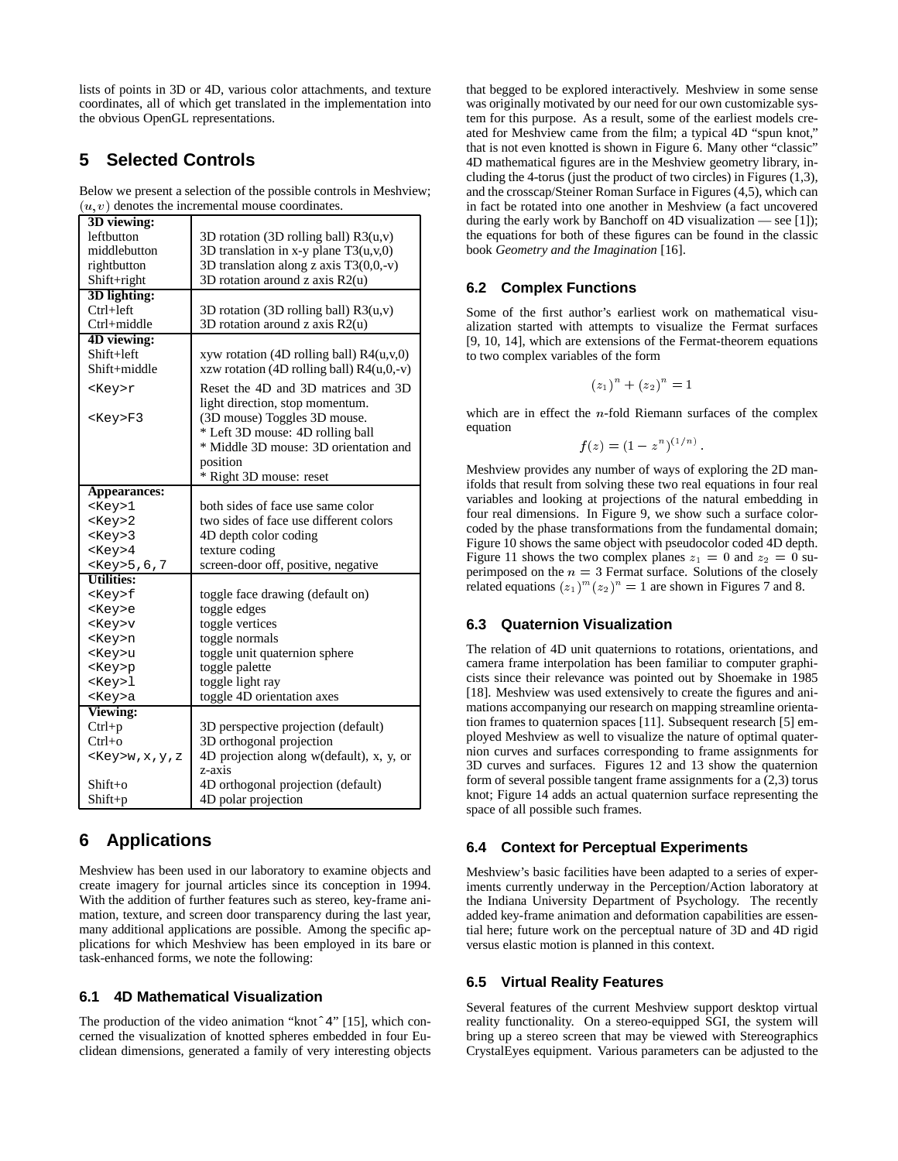lists of points in 3D or 4D, various color attachments, and texture coordinates, all of which get translated in the implementation into the obvious OpenGL representations.

# **5 Selected Controls**

Below we present a selection of the possible controls in Meshview;  $(u, v)$  denotes the incremental mouse coordinates.

| 3D viewing:        |                                                    |
|--------------------|----------------------------------------------------|
| leftbutton         | 3D rotation (3D rolling ball) $R3(u,v)$            |
| middlebutton       | 3D translation in x-y plane $T3(u, v, 0)$          |
| rightbutton        | 3D translation along z axis $T3(0,0,-v)$           |
| Shift+right        | 3D rotation around z axis R2(u)                    |
| 3D lighting:       |                                                    |
| $Ctrl + left$      | 3D rotation (3D rolling ball) $R3(u,v)$            |
| Ctrl+middle        | 3D rotation around z axis R2(u)                    |
| 4D viewing:        |                                                    |
| Shift+left         | xyw rotation (4D rolling ball) $R4(u, v, 0)$       |
| Shift+middle       | xzw rotation (4D rolling ball) $R4(u,0,-v)$        |
| <key>r</key>       | Reset the 4D and 3D matrices and 3D                |
|                    | light direction, stop momentum.                    |
| <key>F3</key>      | (3D mouse) Toggles 3D mouse.                       |
|                    | * Left 3D mouse: 4D rolling ball                   |
|                    | * Middle 3D mouse: 3D orientation and              |
|                    | position                                           |
|                    | * Right 3D mouse: reset                            |
| Appearances:       |                                                    |
| $<$ Key> $1$       | both sides of face use same color                  |
| $<$ Key>2          | two sides of face use different colors             |
| $<$ Key>3          | 4D depth color coding                              |
| $<$ Key>4          | texture coding                                     |
| <key>5,6,7</key>   | screen-door off, positive, negative                |
| <b>Utilities:</b>  |                                                    |
| <key>f</key>       | toggle face drawing (default on)                   |
| <key>e</key>       | toggle edges                                       |
| <key>v</key>       | toggle vertices                                    |
| <key>n</key>       | toggle normals                                     |
| <key>u</key>       | toggle unit quaternion sphere                      |
| <key>p</key>       | toggle palette                                     |
| <key>1</key>       | toggle light ray                                   |
| <key>a</key>       | toggle 4D orientation axes                         |
| <b>Viewing:</b>    |                                                    |
| $Ctrl + p$         | 3D perspective projection (default)                |
| $Ctrl + o$         | 3D orthogonal projection                           |
| <key>w,x,y,z</key> | 4D projection along w(default), x, y, or<br>z-axis |
| $Shift+o$          | 4D orthogonal projection (default)                 |
| Shift+p            | 4D polar projection                                |
|                    |                                                    |

# **6 Applications**

Meshview has been used in our laboratory to examine objects and create imagery for journal articles since its conception in 1994. With the addition of further features such as stereo, key-frame animation, texture, and screen door transparency during the last year, many additional applications are possible. Among the specific applications for which Meshview has been employed in its bare or task-enhanced forms, we note the following:

#### **6.1 4D Mathematical Visualization**

The production of the video animation "knotˆ4" [15], which concerned the visualization of knotted spheres embedded in four Euclidean dimensions, generated a family of very interesting objects that begged to be explored interactively. Meshview in some sense was originally motivated by our need for our own customizable system for this purpose. As a result, some of the earliest models created for Meshview came from the film; a typical 4D "spun knot," that is not even knotted is shown in Figure 6. Many other "classic" 4D mathematical figures are in the Meshview geometry library, including the 4-torus (just the product of two circles) in Figures (1,3), and the crosscap/Steiner Roman Surface in Figures (4,5), which can in fact be rotated into one another in Meshview (a fact uncovered during the early work by Banchoff on 4D visualization — see [1]); the equations for both of these figures can be found in the classic book *Geometry and the Imagination* [16].

### **6.2 Complex Functions**

Some of the first author's earliest work on mathematical visualization started with attempts to visualize the Fermat surfaces [9, 10, 14], which are extensions of the Fermat-theorem equations to two complex variables of the form

$$
(z_1)^n + (z_2)^n = 1
$$

which are in effect the  $n$ -fold Riemann surfaces of the complex equation

$$
f(z) = (1 - z^n)^{(1/n)}
$$

Meshview provides any number of ways of exploring the 2D manifolds that result from solving these two real equations in four real variables and looking at projections of the natural embedding in four real dimensions. In Figure 9, we show such a surface colorcoded by the phase transformations from the fundamental domain; Figure 10 shows the same object with pseudocolor coded 4D depth. Figure 11 shows the two complex planes  $z_1 = 0$  and  $z_2 = 0$  superimposed on the  $n = 3$  Fermat surface. Solutions of the closely related equations  $(z_1)^m (z_2)^n = 1$  are shown in Figures 7 and 8.

#### **6.3 Quaternion Visualization**

The relation of 4D unit quaternions to rotations, orientations, and camera frame interpolation has been familiar to computer graphicists since their relevance was pointed out by Shoemake in 1985 [18]. Meshview was used extensively to create the figures and animations accompanying our research on mapping streamline orientation frames to quaternion spaces [11]. Subsequent research [5] employed Meshview as well to visualize the nature of optimal quaternion curves and surfaces corresponding to frame assignments for 3D curves and surfaces. Figures 12 and 13 show the quaternion form of several possible tangent frame assignments for a (2,3) torus knot; Figure 14 adds an actual quaternion surface representing the space of all possible such frames.

## **6.4 Context for Perceptual Experiments**

Meshview's basic facilities have been adapted to a series of experiments currently underway in the Perception/Action laboratory at the Indiana University Department of Psychology. The recently added key-frame animation and deformation capabilities are essential here; future work on the perceptual nature of 3D and 4D rigid versus elastic motion is planned in this context.

#### **6.5 Virtual Reality Features**

Several features of the current Meshview support desktop virtual reality functionality. On a stereo-equipped SGI, the system will bring up a stereo screen that may be viewed with Stereographics CrystalEyes equipment. Various parameters can be adjusted to the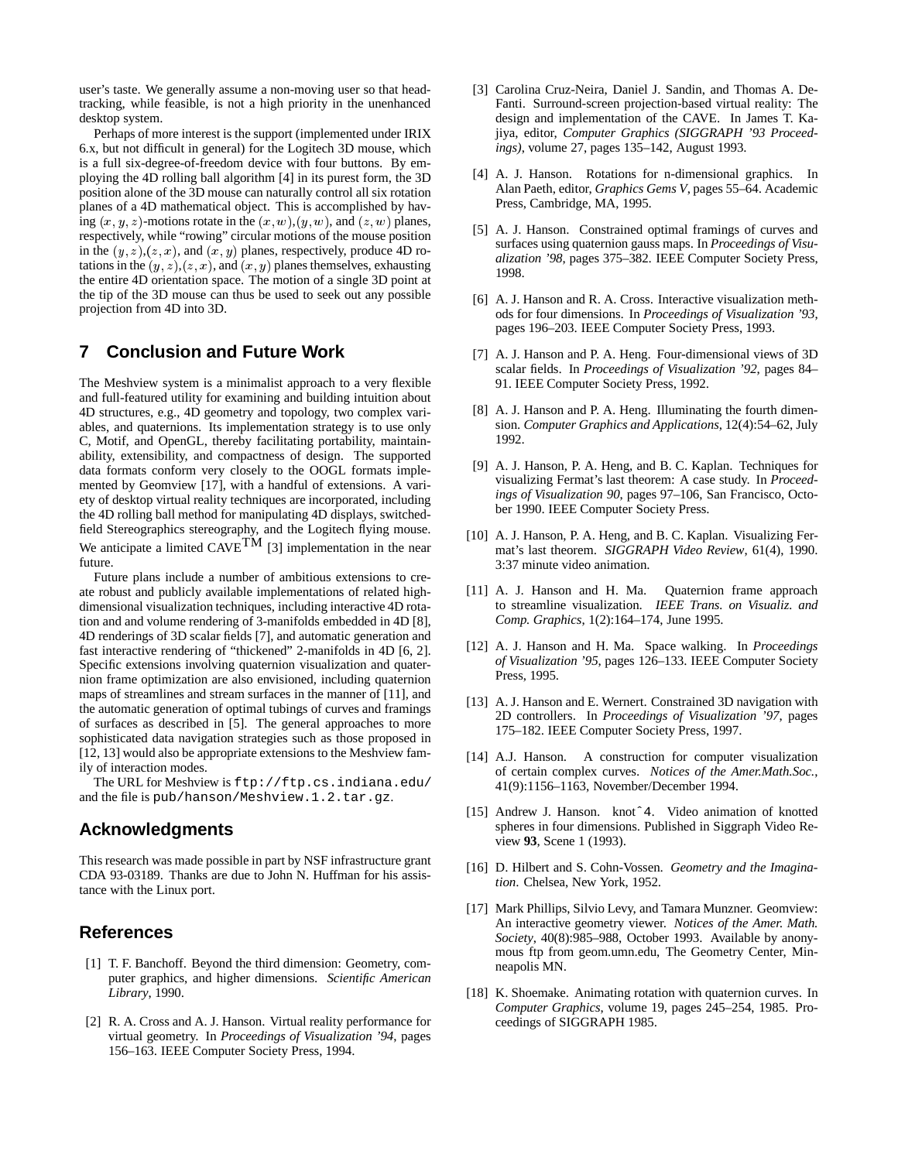user's taste. We generally assume a non-moving user so that headtracking, while feasible, is not a high priority in the unenhanced desktop system.

Perhaps of more interest is the support (implemented under IRIX 6.x, but not difficult in general) for the Logitech 3D mouse, which is a full six-degree-of-freedom device with four buttons. By employing the 4D rolling ball algorithm [4] in its purest form, the 3D position alone of the 3D mouse can naturally control all six rotation planes of a 4D mathematical object. This is accomplished by having  $(x, y, z)$ -motions rotate in the  $(x, w)$ ,  $(y, w)$ , and  $(z, w)$  planes, respectively, while "rowing" circular motions of the mouse position in the  $(y, z), (z, x)$ , and  $(x, y)$  planes, respectively, produce 4D rotations in the  $(y, z)$ ,  $(z, x)$ , and  $(x, y)$  planes themselves, exhausting the entire 4D orientation space. The motion of a single 3D point at the tip of the 3D mouse can thus be used to seek out any possible projection from 4D into 3D.

# **7 Conclusion and Future Work**

The Meshview system is a minimalist approach to a very flexible and full-featured utility for examining and building intuition about 4D structures, e.g., 4D geometry and topology, two complex variables, and quaternions. Its implementation strategy is to use only C, Motif, and OpenGL, thereby facilitating portability, maintainability, extensibility, and compactness of design. The supported data formats conform very closely to the OOGL formats implemented by Geomview [17], with a handful of extensions. A variety of desktop virtual reality techniques are incorporated, including the 4D rolling ball method for manipulating 4D displays, switchedfield Stereographics stereography, and the Logitech flying mouse. We anticipate a limited  $CAVE<sup>TM</sup>$  [3] implementation in the near future.

Future plans include a number of ambitious extensions to create robust and publicly available implementations of related highdimensional visualization techniques, including interactive 4D rotation and and volume rendering of 3-manifolds embedded in 4D [8], 4D renderings of 3D scalar fields [7], and automatic generation and fast interactive rendering of "thickened" 2-manifolds in 4D [6, 2]. Specific extensions involving quaternion visualization and quaternion frame optimization are also envisioned, including quaternion maps of streamlines and stream surfaces in the manner of [11], and the automatic generation of optimal tubings of curves and framings of surfaces as described in [5]. The general approaches to more sophisticated data navigation strategies such as those proposed in [12, 13] would also be appropriate extensions to the Meshview family of interaction modes.

The URL for Meshview is ftp://ftp.cs.indiana.edu/ and the file is pub/hanson/Meshview.1.2.tar.gz.

#### **Acknowledgments**

This research was made possible in part by NSF infrastructure grant CDA 93-03189. Thanks are due to John N. Huffman for his assistance with the Linux port.

#### **References**

- [1] T. F. Banchoff. Beyond the third dimension: Geometry, computer graphics, and higher dimensions. *Scientific American Library*, 1990.
- [2] R. A. Cross and A. J. Hanson. Virtual reality performance for virtual geometry. In *Proceedings of Visualization '94*, pages 156–163. IEEE Computer Society Press, 1994.
- [3] Carolina Cruz-Neira, Daniel J. Sandin, and Thomas A. De-Fanti. Surround-screen projection-based virtual reality: The design and implementation of the CAVE. In James T. Kajiya, editor, *Computer Graphics (SIGGRAPH '93 Proceedings)*, volume 27, pages 135–142, August 1993.
- [4] A. J. Hanson. Rotations for n-dimensional graphics. In Alan Paeth, editor, *Graphics Gems V*, pages 55–64. Academic Press, Cambridge, MA, 1995.
- [5] A. J. Hanson. Constrained optimal framings of curves and surfaces using quaternion gauss maps. In *Proceedings of Visualization '98*, pages 375–382. IEEE Computer Society Press, 1998.
- [6] A. J. Hanson and R. A. Cross. Interactive visualization methods for four dimensions. In *Proceedings of Visualization '93*, pages 196–203. IEEE Computer Society Press, 1993.
- [7] A. J. Hanson and P. A. Heng. Four-dimensional views of 3D scalar fields. In *Proceedings of Visualization '92*, pages 84– 91. IEEE Computer Society Press, 1992.
- [8] A. J. Hanson and P. A. Heng. Illuminating the fourth dimension. *Computer Graphics and Applications*, 12(4):54–62, July 1992.
- [9] A. J. Hanson, P. A. Heng, and B. C. Kaplan. Techniques for visualizing Fermat's last theorem: A case study. In *Proceedings of Visualization 90*, pages 97–106, San Francisco, October 1990. IEEE Computer Society Press.
- [10] A. J. Hanson, P. A. Heng, and B. C. Kaplan. Visualizing Fermat's last theorem. *SIGGRAPH Video Review*, 61(4), 1990. 3:37 minute video animation.
- [11] A. J. Hanson and H. Ma. Quaternion frame approach to streamline visualization. *IEEE Trans. on Visualiz. and Comp. Graphics*, 1(2):164–174, June 1995.
- [12] A. J. Hanson and H. Ma. Space walking. In *Proceedings of Visualization '95*, pages 126–133. IEEE Computer Society Press, 1995.
- [13] A. J. Hanson and E. Wernert. Constrained 3D navigation with 2D controllers. In *Proceedings of Visualization '97*, pages 175–182. IEEE Computer Society Press, 1997.
- [14] A.J. Hanson. A construction for computer visualization of certain complex curves. *Notices of the Amer.Math.Soc.*, 41(9):1156–1163, November/December 1994.
- [15] Andrew J. Hanson. knotˆ4. Video animation of knotted spheres in four dimensions. Published in Siggraph Video Review **93**, Scene 1 (1993).
- [16] D. Hilbert and S. Cohn-Vossen. *Geometry and the Imagination*. Chelsea, New York, 1952.
- [17] Mark Phillips, Silvio Levy, and Tamara Munzner. Geomview: An interactive geometry viewer. *Notices of the Amer. Math. Society*, 40(8):985–988, October 1993. Available by anonymous ftp from geom.umn.edu, The Geometry Center, Minneapolis MN.
- [18] K. Shoemake. Animating rotation with quaternion curves. In *Computer Graphics*, volume 19, pages 245–254, 1985. Proceedings of SIGGRAPH 1985.